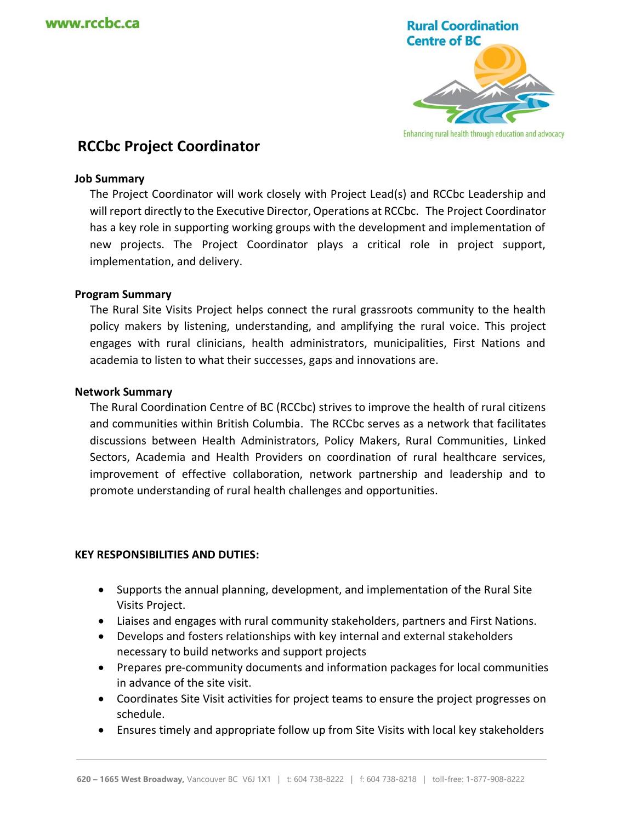

# **RCCbc Project Coordinator**

### **Job Summary**

The Project Coordinator will work closely with Project Lead(s) and RCCbc Leadership and will report directly to the Executive Director, Operations at RCCbc. The Project Coordinator has a key role in supporting working groups with the development and implementation of new projects. The Project Coordinator plays a critical role in project support, implementation, and delivery.

### **Program Summary**

The Rural Site Visits Project helps connect the rural grassroots community to the health policy makers by listening, understanding, and amplifying the rural voice. This project engages with rural clinicians, health administrators, municipalities, First Nations and academia to listen to what their successes, gaps and innovations are.

#### **Network Summary**

The Rural Coordination Centre of BC (RCCbc) strives to improve the health of rural citizens and communities within British Columbia. The RCCbc serves as a network that facilitates discussions between Health Administrators, Policy Makers, Rural Communities, Linked Sectors, Academia and Health Providers on coordination of rural healthcare services, improvement of effective collaboration, network partnership and leadership and to promote understanding of rural health challenges and opportunities.

#### **KEY RESPONSIBILITIES AND DUTIES:**

- Supports the annual planning, development, and implementation of the Rural Site Visits Project.
- Liaises and engages with rural community stakeholders, partners and First Nations.
- Develops and fosters relationships with key internal and external stakeholders necessary to build networks and support projects
- Prepares pre-community documents and information packages for local communities in advance of the site visit.
- Coordinates Site Visit activities for project teams to ensure the project progresses on schedule.
- Ensures timely and appropriate follow up from Site Visits with local key stakeholders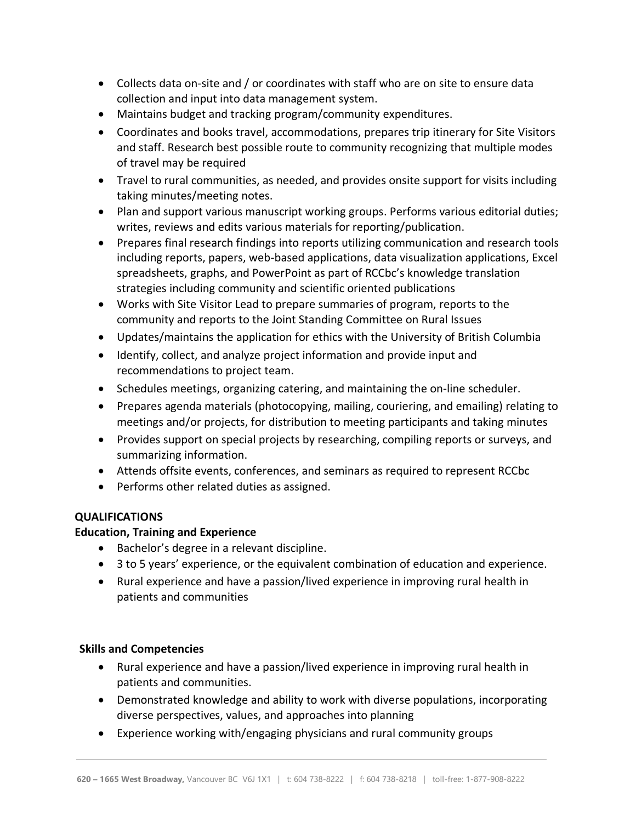- Collects data on-site and / or coordinates with staff who are on site to ensure data collection and input into data management system.
- Maintains budget and tracking program/community expenditures.
- Coordinates and books travel, accommodations, prepares trip itinerary for Site Visitors and staff. Research best possible route to community recognizing that multiple modes of travel may be required
- Travel to rural communities, as needed, and provides onsite support for visits including taking minutes/meeting notes.
- Plan and support various manuscript working groups. Performs various editorial duties; writes, reviews and edits various materials for reporting/publication.
- Prepares final research findings into reports utilizing communication and research tools including reports, papers, web-based applications, data visualization applications, Excel spreadsheets, graphs, and PowerPoint as part of RCCbc's knowledge translation strategies including community and scientific oriented publications
- Works with Site Visitor Lead to prepare summaries of program, reports to the community and reports to the Joint Standing Committee on Rural Issues
- Updates/maintains the application for ethics with the University of British Columbia
- Identify, collect, and analyze project information and provide input and recommendations to project team.
- Schedules meetings, organizing catering, and maintaining the on-line scheduler.
- Prepares agenda materials (photocopying, mailing, couriering, and emailing) relating to meetings and/or projects, for distribution to meeting participants and taking minutes
- Provides support on special projects by researching, compiling reports or surveys, and summarizing information.
- Attends offsite events, conferences, and seminars as required to represent RCCbc
- Performs other related duties as assigned.

# **QUALIFICATIONS**

# **Education, Training and Experience**

- Bachelor's degree in a relevant discipline.
- 3 to 5 years' experience, or the equivalent combination of education and experience.
- Rural experience and have a passion/lived experience in improving rural health in patients and communities

# **Skills and Competencies**

- Rural experience and have a passion/lived experience in improving rural health in patients and communities.
- Demonstrated knowledge and ability to work with diverse populations, incorporating diverse perspectives, values, and approaches into planning
- Experience working with/engaging physicians and rural community groups